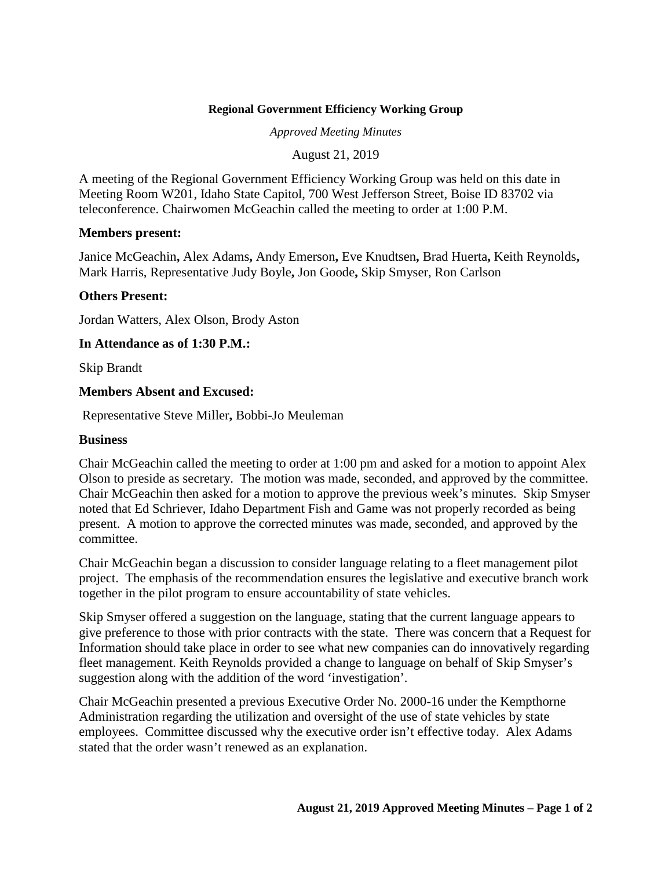## **Regional Government Efficiency Working Group**

*Approved Meeting Minutes*

August 21, 2019

A meeting of the Regional Government Efficiency Working Group was held on this date in Meeting Room W201, Idaho State Capitol, 700 West Jefferson Street, Boise ID 83702 via teleconference. Chairwomen McGeachin called the meeting to order at 1:00 P.M.

#### **Members present:**

Janice McGeachin**,** Alex Adams**,** Andy Emerson**,** Eve Knudtsen**,** Brad Huerta**,** Keith Reynolds**,**  Mark Harris, Representative Judy Boyle**,** Jon Goode**,** Skip Smyser, Ron Carlson

### **Others Present:**

Jordan Watters, Alex Olson, Brody Aston

### **In Attendance as of 1:30 P.M.:**

Skip Brandt

### **Members Absent and Excused:**

Representative Steve Miller**,** Bobbi-Jo Meuleman

#### **Business**

Chair McGeachin called the meeting to order at 1:00 pm and asked for a motion to appoint Alex Olson to preside as secretary. The motion was made, seconded, and approved by the committee. Chair McGeachin then asked for a motion to approve the previous week's minutes. Skip Smyser noted that Ed Schriever, Idaho Department Fish and Game was not properly recorded as being present. A motion to approve the corrected minutes was made, seconded, and approved by the committee.

Chair McGeachin began a discussion to consider language relating to a fleet management pilot project.The emphasis of the recommendation ensures the legislative and executive branch work together in the pilot program to ensure accountability of state vehicles.

Skip Smyser offered a suggestion on the language, stating that the current language appears to give preference to those with prior contracts with the state. There was concern that a Request for Information should take place in order to see what new companies can do innovatively regarding fleet management. Keith Reynolds provided a change to language on behalf of Skip Smyser's suggestion along with the addition of the word 'investigation'.

Chair McGeachin presented a previous Executive Order No. 2000-16 under the Kempthorne Administration regarding the utilization and oversight of the use of state vehicles by state employees. Committee discussed why the executive order isn't effective today. Alex Adams stated that the order wasn't renewed as an explanation.